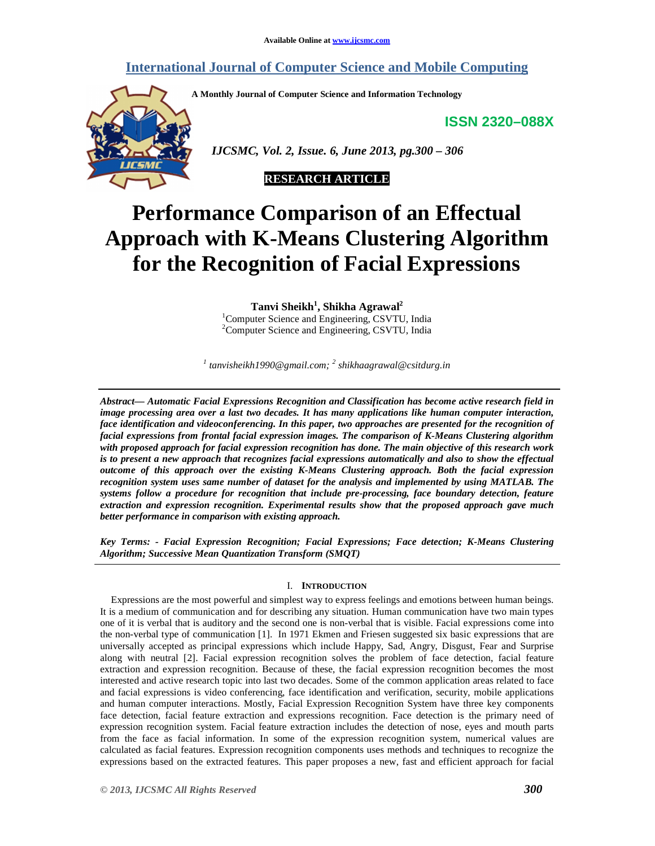## **International Journal of Computer Science and Mobile Computing**

**A Monthly Journal of Computer Science and Information Technology** 

**ISSN 2320–088X**



 *IJCSMC, Vol. 2, Issue. 6, June 2013, pg.300 – 306* 



# **Performance Comparison of an Effectual Approach with K-Means Clustering Algorithm for the Recognition of Facial Expressions**

**Tanvi Sheikh<sup>1</sup> , Shikha Agrawal<sup>2</sup>** <sup>1</sup>Computer Science and Engineering, CSVTU, India <sup>2</sup>Computer Science and Engineering, CSVTU, India

*1 tanvisheikh1990@gmail.com; <sup>2</sup> shikhaagrawal@csitdurg.in* 

*Abstract— Automatic Facial Expressions Recognition and Classification has become active research field in image processing area over a last two decades. It has many applications like human computer interaction, face identification and videoconferencing. In this paper, two approaches are presented for the recognition of facial expressions from frontal facial expression images. The comparison of K-Means Clustering algorithm with proposed approach for facial expression recognition has done. The main objective of this research work is to present a new approach that recognizes facial expressions automatically and also to show the effectual outcome of this approach over the existing K-Means Clustering approach. Both the facial expression recognition system uses same number of dataset for the analysis and implemented by using MATLAB. The systems follow a procedure for recognition that include pre-processing, face boundary detection, feature extraction and expression recognition. Experimental results show that the proposed approach gave much better performance in comparison with existing approach.* 

*Key Terms: - Facial Expression Recognition; Facial Expressions; Face detection; K-Means Clustering Algorithm; Successive Mean Quantization Transform (SMQT)* 

#### I. **INTRODUCTION**

Expressions are the most powerful and simplest way to express feelings and emotions between human beings. It is a medium of communication and for describing any situation. Human communication have two main types one of it is verbal that is auditory and the second one is non-verbal that is visible. Facial expressions come into the non-verbal type of communication [1]. In 1971 Ekmen and Friesen suggested six basic expressions that are universally accepted as principal expressions which include Happy, Sad, Angry, Disgust, Fear and Surprise along with neutral [2]. Facial expression recognition solves the problem of face detection, facial feature extraction and expression recognition. Because of these, the facial expression recognition becomes the most interested and active research topic into last two decades. Some of the common application areas related to face and facial expressions is video conferencing, face identification and verification, security, mobile applications and human computer interactions. Mostly, Facial Expression Recognition System have three key components face detection, facial feature extraction and expressions recognition. Face detection is the primary need of expression recognition system. Facial feature extraction includes the detection of nose, eyes and mouth parts from the face as facial information. In some of the expression recognition system, numerical values are calculated as facial features. Expression recognition components uses methods and techniques to recognize the expressions based on the extracted features. This paper proposes a new, fast and efficient approach for facial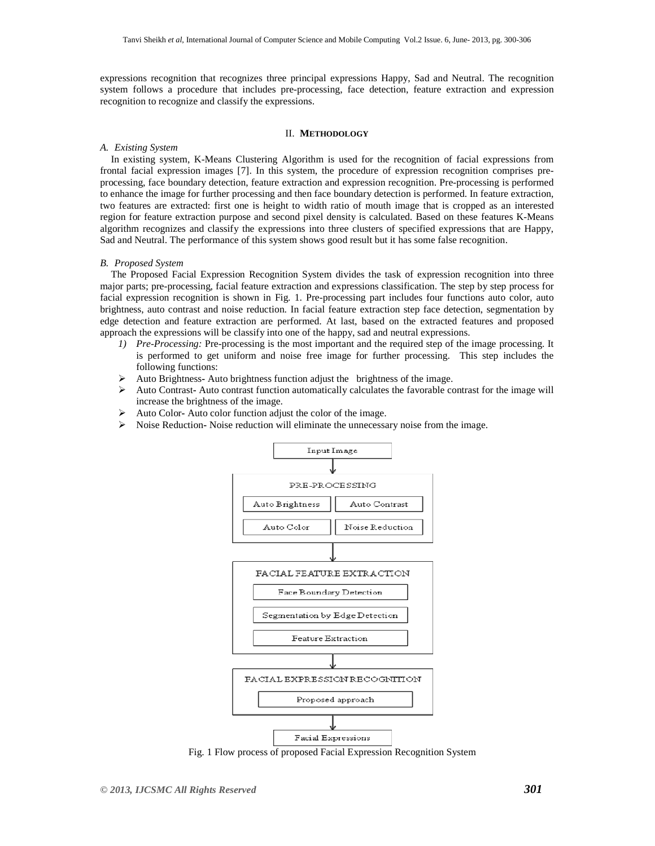expressions recognition that recognizes three principal expressions Happy, Sad and Neutral. The recognition system follows a procedure that includes pre-processing, face detection, feature extraction and expression recognition to recognize and classify the expressions.

#### II. **METHODOLOGY**

#### *A. Existing System*

In existing system, K-Means Clustering Algorithm is used for the recognition of facial expressions from frontal facial expression images [7]. In this system, the procedure of expression recognition comprises preprocessing, face boundary detection, feature extraction and expression recognition. Pre-processing is performed to enhance the image for further processing and then face boundary detection is performed. In feature extraction, two features are extracted: first one is height to width ratio of mouth image that is cropped as an interested region for feature extraction purpose and second pixel density is calculated. Based on these features K-Means algorithm recognizes and classify the expressions into three clusters of specified expressions that are Happy, Sad and Neutral. The performance of this system shows good result but it has some false recognition.

#### *B. Proposed System*

The Proposed Facial Expression Recognition System divides the task of expression recognition into three major parts; pre-processing, facial feature extraction and expressions classification. The step by step process for facial expression recognition is shown in Fig. 1. Pre-processing part includes four functions auto color, auto brightness, auto contrast and noise reduction. In facial feature extraction step face detection, segmentation by edge detection and feature extraction are performed. At last, based on the extracted features and proposed approach the expressions will be classify into one of the happy, sad and neutral expressions.

- *1) Pre-Processing:* Pre-processing is the most important and the required step of the image processing. It is performed to get uniform and noise free image for further processing. This step includes the following functions:
- Auto Brightness**-** Auto brightness function adjust the brightness of the image.
- Auto Contrast**-** Auto contrast function automatically calculates the favorable contrast for the image will increase the brightness of the image.
- Auto ColorAuto color function adjust the color of the image.
- Noise Reduction**-** Noise reduction will eliminate the unnecessary noise from the image.



Fig. 1 Flow process of proposed Facial Expression Recognition System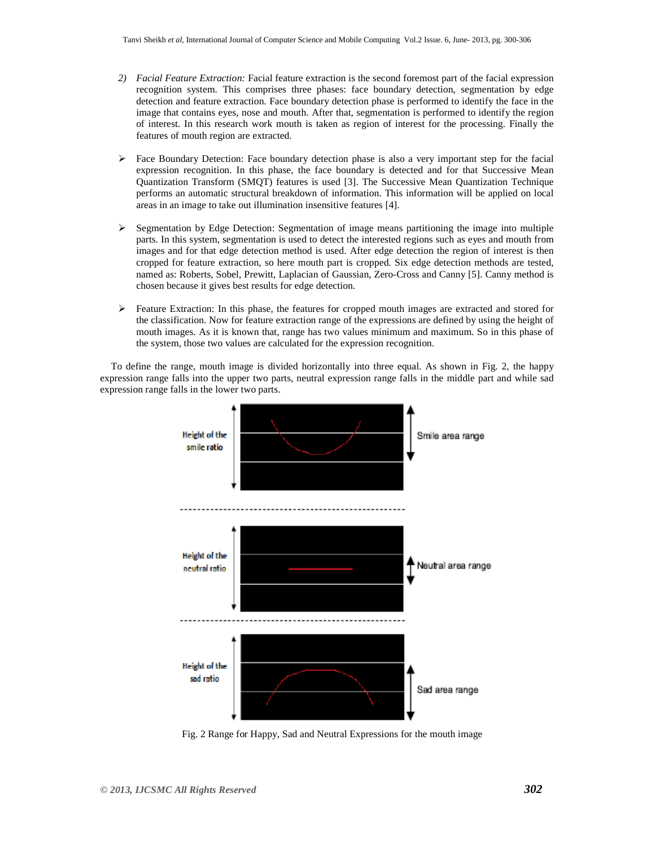- *2) Facial Feature Extraction:* Facial feature extraction is the second foremost part of the facial expression recognition system. This comprises three phases: face boundary detection, segmentation by edge detection and feature extraction. Face boundary detection phase is performed to identify the face in the image that contains eyes, nose and mouth. After that, segmentation is performed to identify the region of interest. In this research work mouth is taken as region of interest for the processing. Finally the features of mouth region are extracted.
- $\triangleright$  Face Boundary Detection: Face boundary detection phase is also a very important step for the facial expression recognition. In this phase, the face boundary is detected and for that Successive Mean Quantization Transform (SMQT) features is used [3]. The Successive Mean Quantization Technique performs an automatic structural breakdown of information. This information will be applied on local areas in an image to take out illumination insensitive features [4].
- $\triangleright$  Segmentation by Edge Detection: Segmentation of image means partitioning the image into multiple parts. In this system, segmentation is used to detect the interested regions such as eyes and mouth from images and for that edge detection method is used. After edge detection the region of interest is then cropped for feature extraction, so here mouth part is cropped. Six edge detection methods are tested, named as: Roberts, Sobel, Prewitt, Laplacian of Gaussian, Zero-Cross and Canny [5]. Canny method is chosen because it gives best results for edge detection.
- $\triangleright$  Feature Extraction: In this phase, the features for cropped mouth images are extracted and stored for the classification. Now for feature extraction range of the expressions are defined by using the height of mouth images. As it is known that, range has two values minimum and maximum. So in this phase of the system, those two values are calculated for the expression recognition.

To define the range, mouth image is divided horizontally into three equal. As shown in Fig. 2, the happy expression range falls into the upper two parts, neutral expression range falls in the middle part and while sad expression range falls in the lower two parts.



Fig. 2 Range for Happy, Sad and Neutral Expressions for the mouth image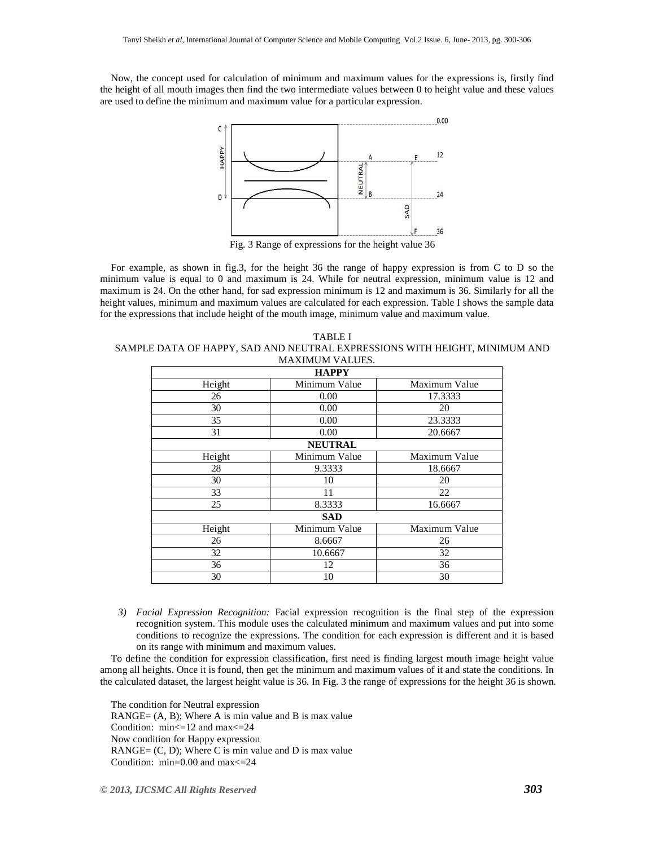Now, the concept used for calculation of minimum and maximum values for the expressions is, firstly find the height of all mouth images then find the two intermediate values between 0 to height value and these values are used to define the minimum and maximum value for a particular expression.



Fig. 3 Range of expressions for the height value 36

For example, as shown in fig.3, for the height 36 the range of happy expression is from C to D so the minimum value is equal to 0 and maximum is 24. While for neutral expression, minimum value is 12 and maximum is 24. On the other hand, for sad expression minimum is 12 and maximum is 36. Similarly for all the height values, minimum and maximum values are calculated for each expression. Table I shows the sample data for the expressions that include height of the mouth image, minimum value and maximum value.

TABLE I SAMPLE DATA OF HAPPY, SAD AND NEUTRAL EXPRESSIONS WITH HEIGHT, MINIMUM AND MAXIMUM VALUES.

| <b>HAPPY</b>   |               |
|----------------|---------------|
| Minimum Value  | Maximum Value |
| 0.00           | 17.3333       |
| 0.00           | 20            |
| 0.00           | 23.3333       |
| 0.00           | 20.6667       |
| <b>NEUTRAL</b> |               |
| Minimum Value  | Maximum Value |
| 9.3333         | 18.6667       |
| 10             | 20            |
| 11             | 22            |
| 8.3333         | 16.6667       |
| <b>SAD</b>     |               |
| Minimum Value  | Maximum Value |
| 8.6667         | 26            |
| 10.6667        | 32            |
| 12             | 36            |
| 10             | 30            |
|                |               |

*3) Facial Expression Recognition:* Facial expression recognition is the final step of the expression recognition system. This module uses the calculated minimum and maximum values and put into some conditions to recognize the expressions. The condition for each expression is different and it is based on its range with minimum and maximum values.

To define the condition for expression classification, first need is finding largest mouth image height value among all heights. Once it is found, then get the minimum and maximum values of it and state the conditions. In the calculated dataset, the largest height value is 36. In Fig. 3 the range of expressions for the height 36 is shown.

The condition for Neutral expression RANGE=  $(A, B)$ ; Where A is min value and B is max value Condition: min<=12 and max<=24 Now condition for Happy expression  $RANGE = (C, D)$ ; Where C is min value and D is max value Condition: min=0.00 and max<=24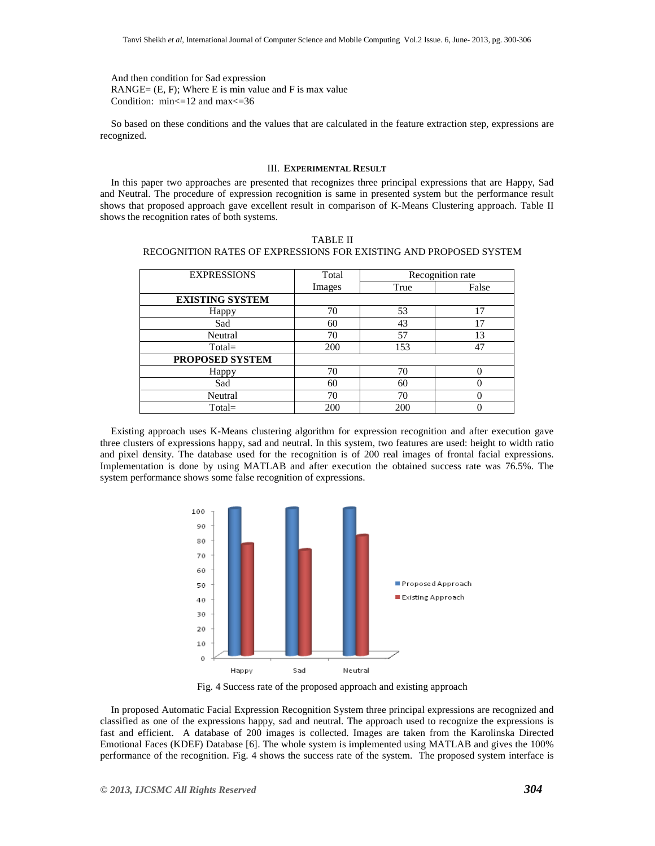And then condition for Sad expression RANGE=  $(E, F)$ ; Where E is min value and F is max value Condition: min<=12 and max<=36

So based on these conditions and the values that are calculated in the feature extraction step, expressions are recognized.

#### III. **EXPERIMENTAL RESULT**

In this paper two approaches are presented that recognizes three principal expressions that are Happy, Sad and Neutral. The procedure of expression recognition is same in presented system but the performance result shows that proposed approach gave excellent result in comparison of K-Means Clustering approach. Table II shows the recognition rates of both systems.

| <b>EXPRESSIONS</b>     | Total  |      | Recognition rate |
|------------------------|--------|------|------------------|
|                        | Images | True | False            |
| <b>EXISTING SYSTEM</b> |        |      |                  |
| Happy                  | 70     | 53   | 17               |
| Sad                    | 60     | 43   | 17               |
| Neutral                | 70     | 57   | 13               |
| $Total =$              | 200    | 153  | 47               |
| PROPOSED SYSTEM        |        |      |                  |
| Happy                  | 70     | 70   |                  |
| Sad                    | 60     | 60   |                  |
| Neutral                | 70     | 70   |                  |
| $Total =$              | 200    | 200  |                  |

TABLE II RECOGNITION RATES OF EXPRESSIONS FOR EXISTING AND PROPOSED SYSTEM

Existing approach uses K-Means clustering algorithm for expression recognition and after execution gave three clusters of expressions happy, sad and neutral. In this system, two features are used: height to width ratio and pixel density. The database used for the recognition is of 200 real images of frontal facial expressions. Implementation is done by using MATLAB and after execution the obtained success rate was 76.5%. The system performance shows some false recognition of expressions.



Fig. 4 Success rate of the proposed approach and existing approach

In proposed Automatic Facial Expression Recognition System three principal expressions are recognized and classified as one of the expressions happy, sad and neutral. The approach used to recognize the expressions is fast and efficient. A database of 200 images is collected. Images are taken from the Karolinska Directed Emotional Faces (KDEF) Database [6]. The whole system is implemented using MATLAB and gives the 100% performance of the recognition. Fig. 4 shows the success rate of the system. The proposed system interface is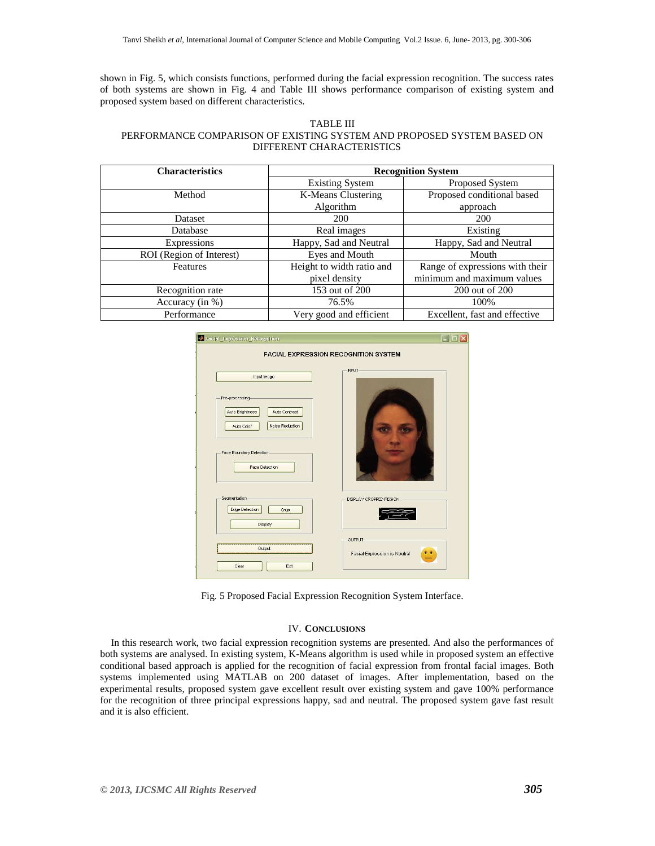shown in Fig. 5, which consists functions, performed during the facial expression recognition. The success rates of both systems are shown in Fig. 4 and Table III shows performance comparison of existing system and proposed system based on different characteristics.

#### TABLE III PERFORMANCE COMPARISON OF EXISTING SYSTEM AND PROPOSED SYSTEM BASED ON DIFFERENT CHARACTERISTICS

| <b>Characteristics</b>   | <b>Recognition System</b> |                                 |
|--------------------------|---------------------------|---------------------------------|
|                          | <b>Existing System</b>    | Proposed System                 |
| Method                   | K-Means Clustering        | Proposed conditional based      |
|                          | Algorithm                 | approach                        |
| <b>Dataset</b>           | 200                       | 200                             |
| Database                 | Real images               | Existing                        |
| Expressions              | Happy, Sad and Neutral    | Happy, Sad and Neutral          |
| ROI (Region of Interest) | Eyes and Mouth            | Mouth                           |
| <b>Features</b>          | Height to width ratio and | Range of expressions with their |
|                          | pixel density             | minimum and maximum values      |
| Recognition rate         | 153 out of 200            | 200 out of 200                  |
| Accuracy (in %)          | 76.5%                     | 100%                            |
| Performance              | Very good and efficient   | Excellent, fast and effective   |

|                                                                                                                                    | <b>FACIAL EXPRESSION RECOGNITION SYSTEM</b> |
|------------------------------------------------------------------------------------------------------------------------------------|---------------------------------------------|
| Input Image                                                                                                                        | INPUT-                                      |
| Pre-processing-<br>Auto Brightness<br>Auto Contrast<br>Noise Reduction<br>Auto Color<br>Face Boundary Detection-<br>Face Detection |                                             |
| Segmentation-<br>Edge Detection<br>Crop<br>Display                                                                                 | DISPLAY CROPPED REGION-                     |
| Output                                                                                                                             | OUTPUT-<br>Facial Expression is Neutral     |

Fig. 5 Proposed Facial Expression Recognition System Interface.

### IV. **CONCLUSIONS**

In this research work, two facial expression recognition systems are presented. And also the performances of both systems are analysed. In existing system, K-Means algorithm is used while in proposed system an effective conditional based approach is applied for the recognition of facial expression from frontal facial images. Both systems implemented using MATLAB on 200 dataset of images. After implementation, based on the experimental results, proposed system gave excellent result over existing system and gave 100% performance for the recognition of three principal expressions happy, sad and neutral. The proposed system gave fast result and it is also efficient.